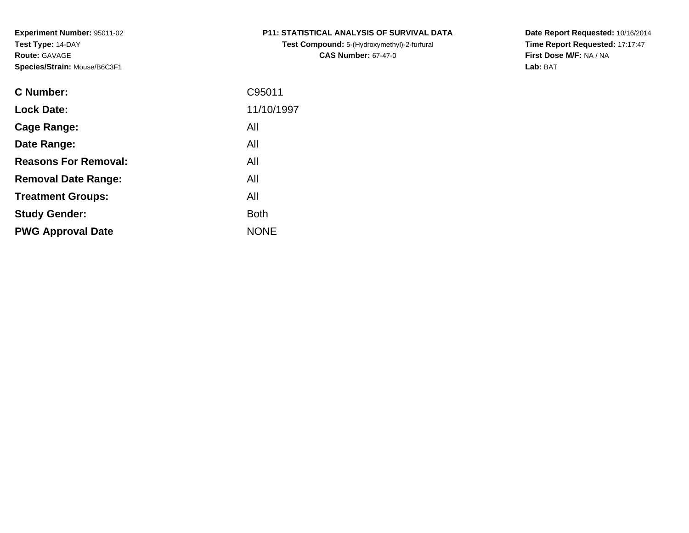**Test Compound:** 5-(Hydroxymethyl)-2-furfural **CAS Number:** 67-47-0

**Date Report Requested:** 10/16/2014 **Time Report Requested:** 17:17:47**First Dose M/F:** NA / NA**Lab:** BAT

| <b>C</b> Number:            | C95011      |
|-----------------------------|-------------|
| <b>Lock Date:</b>           | 11/10/1997  |
| Cage Range:                 | All         |
| Date Range:                 | All         |
| <b>Reasons For Removal:</b> | All         |
| <b>Removal Date Range:</b>  | All         |
| <b>Treatment Groups:</b>    | All         |
| <b>Study Gender:</b>        | <b>Both</b> |
| <b>PWG Approval Date</b>    | <b>NONE</b> |
|                             |             |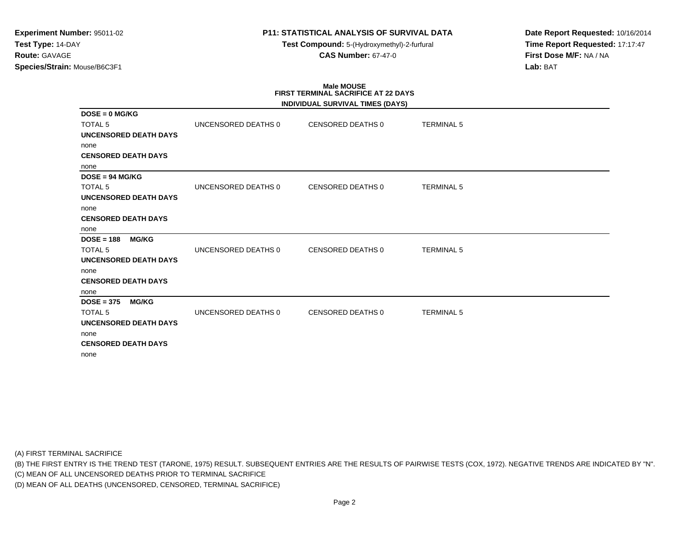# **P11: STATISTICAL ANALYSIS OF SURVIVAL DATA**

**Test Compound:** 5-(Hydroxymethyl)-2-furfural **CAS Number:** 67-47-0

**Date Report Requested:** 10/16/2014**Time Report Requested:** 17:17:47**First Dose M/F:** NA / NA**Lab:** BAT

# **Male MOUSE FIRST TERMINAL SACRIFICE AT 22 DAYS**

|                              |                     | INDIVIDUAL SURVIVAL TIMES (DAYS) |                   |  |
|------------------------------|---------------------|----------------------------------|-------------------|--|
| $DOSE = 0$ MG/KG             |                     |                                  |                   |  |
| <b>TOTAL 5</b>               | UNCENSORED DEATHS 0 | CENSORED DEATHS 0                | <b>TERMINAL 5</b> |  |
| <b>UNCENSORED DEATH DAYS</b> |                     |                                  |                   |  |
| none                         |                     |                                  |                   |  |
| <b>CENSORED DEATH DAYS</b>   |                     |                                  |                   |  |
| none                         |                     |                                  |                   |  |
| $DOSE = 94 MGIKG$            |                     |                                  |                   |  |
| <b>TOTAL 5</b>               | UNCENSORED DEATHS 0 | <b>CENSORED DEATHS 0</b>         | <b>TERMINAL 5</b> |  |
| <b>UNCENSORED DEATH DAYS</b> |                     |                                  |                   |  |
| none                         |                     |                                  |                   |  |
| <b>CENSORED DEATH DAYS</b>   |                     |                                  |                   |  |
| none                         |                     |                                  |                   |  |
| $DOSE = 188$<br><b>MG/KG</b> |                     |                                  |                   |  |
| <b>TOTAL 5</b>               | UNCENSORED DEATHS 0 | <b>CENSORED DEATHS 0</b>         | <b>TERMINAL 5</b> |  |
| UNCENSORED DEATH DAYS        |                     |                                  |                   |  |
| none                         |                     |                                  |                   |  |
| <b>CENSORED DEATH DAYS</b>   |                     |                                  |                   |  |
| none                         |                     |                                  |                   |  |
| $DOSE = 375$<br><b>MG/KG</b> |                     |                                  |                   |  |
| <b>TOTAL 5</b>               | UNCENSORED DEATHS 0 | <b>CENSORED DEATHS 0</b>         | <b>TERMINAL 5</b> |  |
| <b>UNCENSORED DEATH DAYS</b> |                     |                                  |                   |  |
| none                         |                     |                                  |                   |  |
| <b>CENSORED DEATH DAYS</b>   |                     |                                  |                   |  |
| none                         |                     |                                  |                   |  |

(A) FIRST TERMINAL SACRIFICE

(B) THE FIRST ENTRY IS THE TREND TEST (TARONE, 1975) RESULT. SUBSEQUENT ENTRIES ARE THE RESULTS OF PAIRWISE TESTS (COX, 1972). NEGATIVE TRENDS ARE INDICATED BY "N".

(C) MEAN OF ALL UNCENSORED DEATHS PRIOR TO TERMINAL SACRIFICE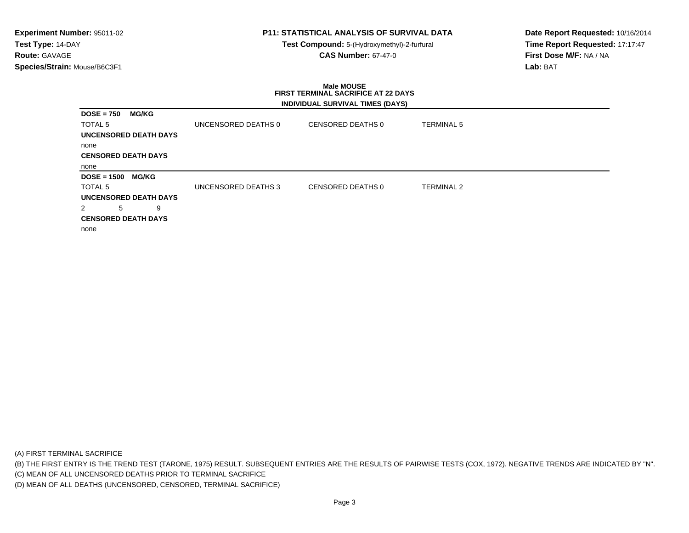# **P11: STATISTICAL ANALYSIS OF SURVIVAL DATA**

**Test Compound:** 5-(Hydroxymethyl)-2-furfural **CAS Number:** 67-47-0

**Date Report Requested:** 10/16/2014**Time Report Requested:** 17:17:47**First Dose M/F:** NA / NA**Lab:** BAT

### **Male MOUSE FIRST TERMINAL SACRIFICE AT 22 DAYSINDIVIDUAL SURVIVAL TIMES (DAYS)**

|                                    |                     | $\frac{1}{2}$     |                   |
|------------------------------------|---------------------|-------------------|-------------------|
| <b>DOSE = 750</b><br><b>MG/KG</b>  |                     |                   |                   |
| TOTAL 5                            | UNCENSORED DEATHS 0 | CENSORED DEATHS 0 | <b>TERMINAL 5</b> |
| <b>UNCENSORED DEATH DAYS</b>       |                     |                   |                   |
| none                               |                     |                   |                   |
| <b>CENSORED DEATH DAYS</b>         |                     |                   |                   |
| none                               |                     |                   |                   |
| <b>DOSE = 1500</b><br><b>MG/KG</b> |                     |                   |                   |
| TOTAL 5                            | UNCENSORED DEATHS 3 | CENSORED DEATHS 0 | <b>TERMINAL 2</b> |
| <b>UNCENSORED DEATH DAYS</b>       |                     |                   |                   |
| 5<br>2<br>9                        |                     |                   |                   |
| <b>CENSORED DEATH DAYS</b>         |                     |                   |                   |
| none                               |                     |                   |                   |
|                                    |                     |                   |                   |

(A) FIRST TERMINAL SACRIFICE

(B) THE FIRST ENTRY IS THE TREND TEST (TARONE, 1975) RESULT. SUBSEQUENT ENTRIES ARE THE RESULTS OF PAIRWISE TESTS (COX, 1972). NEGATIVE TRENDS ARE INDICATED BY "N".

(C) MEAN OF ALL UNCENSORED DEATHS PRIOR TO TERMINAL SACRIFICE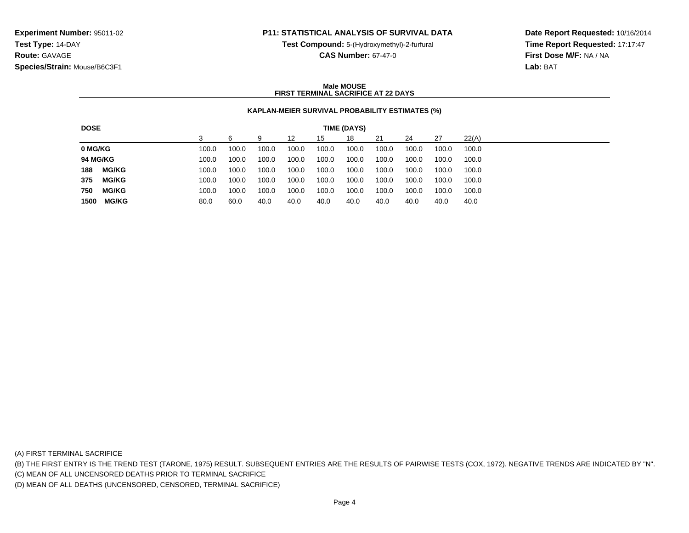## **P11: STATISTICAL ANALYSIS OF SURVIVAL DATA**

**Test Compound:** 5-(Hydroxymethyl)-2-furfural

**CAS Number:** 67-47-0

**Date Report Requested:** 10/16/2014**Time Report Requested:** 17:17:47**First Dose M/F:** NA / NA**Lab:** BAT

### **Male MOUSEFIRST TERMINAL SACRIFICE AT 22 DAYS**

## **KAPLAN-MEIER SURVIVAL PROBABILITY ESTIMATES (%)**

| <b>DOSE</b>     |              |       |       |       |       |       | TIME (DAYS) |       |       |       |       |
|-----------------|--------------|-------|-------|-------|-------|-------|-------------|-------|-------|-------|-------|
|                 |              |       |       | 9     | 12    | 15    | 18          | 21    | 24    | 27    | 22(A) |
| 0 MG/KG         |              | 100.0 | 100.0 | 100.0 | 100.0 | 100.0 | 100.0       | 100.0 | 100.0 | 100.0 | 100.0 |
| <b>94 MG/KG</b> |              | 100.0 | 100.0 | 100.0 | 100.0 | 100.0 | 100.0       | 100.0 | 100.0 | 100.0 | 100.0 |
| 188             | <b>MG/KG</b> | 100.0 | 100.0 | 100.0 | 100.0 | 100.0 | 100.0       | 100.0 | 100.0 | 100.0 | 100.0 |
| 375             | <b>MG/KG</b> | 100.0 | 100.0 | 100.0 | 100.0 | 100.0 | 100.0       | 100.0 | 100.0 | 100.0 | 100.0 |
| 750             | <b>MG/KG</b> | 100.0 | 100.0 | 100.0 | 100.0 | 100.0 | 100.0       | 100.0 | 100.0 | 100.0 | 100.0 |
| 1500            | <b>MG/KG</b> | 80.0  | 60.0  | 40.0  | 40.0  | 40.0  | 40.0        | 40.0  | 40.0  | 40.0  | 40.0  |

(A) FIRST TERMINAL SACRIFICE

(B) THE FIRST ENTRY IS THE TREND TEST (TARONE, 1975) RESULT. SUBSEQUENT ENTRIES ARE THE RESULTS OF PAIRWISE TESTS (COX, 1972). NEGATIVE TRENDS ARE INDICATED BY "N".

(C) MEAN OF ALL UNCENSORED DEATHS PRIOR TO TERMINAL SACRIFICE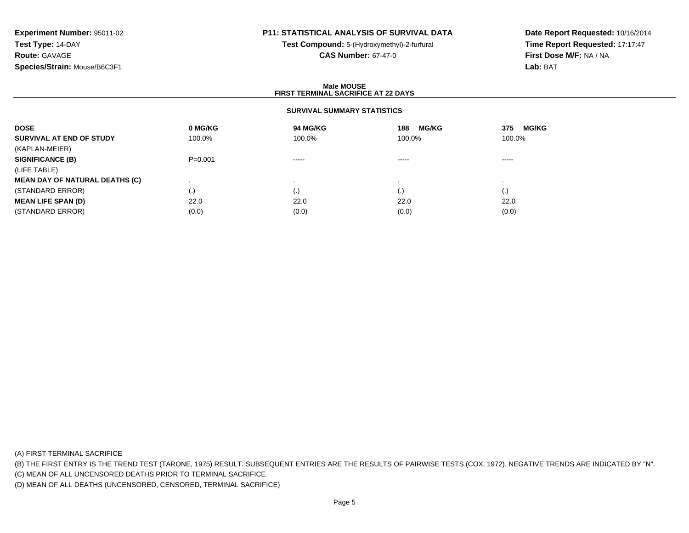# **P11: STATISTICAL ANALYSIS OF SURVIVAL DATA**

**Test Compound:** 5-(Hydroxymethyl)-2-furfural **CAS Number:** 67-47-0

**Date Report Requested:** 10/16/2014**Time Report Requested:** 17:17:47**First Dose M/F:** NA / NA**Lab:** BAT

### **Male MOUSEFIRST TERMINAL SACRIFICE AT 22 DAYS**

## **SURVIVAL SUMMARY STATISTICS**

| <b>DOSE</b>                           | 0 MG/KG   | 94 MG/KG                                                                                                                                                                                                                                                                                                                                                                                                                                                                               | <b>MG/KG</b><br>188                                                                                                                                                                                                                                                                                                                                                                                                                                                                    | <b>MG/KG</b><br>375 |  |
|---------------------------------------|-----------|----------------------------------------------------------------------------------------------------------------------------------------------------------------------------------------------------------------------------------------------------------------------------------------------------------------------------------------------------------------------------------------------------------------------------------------------------------------------------------------|----------------------------------------------------------------------------------------------------------------------------------------------------------------------------------------------------------------------------------------------------------------------------------------------------------------------------------------------------------------------------------------------------------------------------------------------------------------------------------------|---------------------|--|
| SURVIVAL AT END OF STUDY              | 100.0%    | 100.0%                                                                                                                                                                                                                                                                                                                                                                                                                                                                                 | 100.0%                                                                                                                                                                                                                                                                                                                                                                                                                                                                                 | 100.0%              |  |
| (KAPLAN-MEIER)                        |           |                                                                                                                                                                                                                                                                                                                                                                                                                                                                                        |                                                                                                                                                                                                                                                                                                                                                                                                                                                                                        |                     |  |
| <b>SIGNIFICANCE (B)</b>               | $P=0.001$ | $\begin{array}{cccccccccccccc} \multicolumn{2}{c}{} & \multicolumn{2}{c}{} & \multicolumn{2}{c}{} & \multicolumn{2}{c}{} & \multicolumn{2}{c}{} & \multicolumn{2}{c}{} & \multicolumn{2}{c}{} & \multicolumn{2}{c}{} & \multicolumn{2}{c}{} & \multicolumn{2}{c}{} & \multicolumn{2}{c}{} & \multicolumn{2}{c}{} & \multicolumn{2}{c}{} & \multicolumn{2}{c}{} & \multicolumn{2}{c}{} & \multicolumn{2}{c}{} & \multicolumn{2}{c}{} & \multicolumn{2}{c}{} & \multicolumn{2}{c}{} & \$ | $\begin{array}{cccccccccccccc} \multicolumn{2}{c}{} & \multicolumn{2}{c}{} & \multicolumn{2}{c}{} & \multicolumn{2}{c}{} & \multicolumn{2}{c}{} & \multicolumn{2}{c}{} & \multicolumn{2}{c}{} & \multicolumn{2}{c}{} & \multicolumn{2}{c}{} & \multicolumn{2}{c}{} & \multicolumn{2}{c}{} & \multicolumn{2}{c}{} & \multicolumn{2}{c}{} & \multicolumn{2}{c}{} & \multicolumn{2}{c}{} & \multicolumn{2}{c}{} & \multicolumn{2}{c}{} & \multicolumn{2}{c}{} & \multicolumn{2}{c}{} & \$ | -----               |  |
| (LIFE TABLE)                          |           |                                                                                                                                                                                                                                                                                                                                                                                                                                                                                        |                                                                                                                                                                                                                                                                                                                                                                                                                                                                                        |                     |  |
| <b>MEAN DAY OF NATURAL DEATHS (C)</b> |           |                                                                                                                                                                                                                                                                                                                                                                                                                                                                                        |                                                                                                                                                                                                                                                                                                                                                                                                                                                                                        |                     |  |
| (STANDARD ERROR)                      | (.)       |                                                                                                                                                                                                                                                                                                                                                                                                                                                                                        | $\left( . \right)$                                                                                                                                                                                                                                                                                                                                                                                                                                                                     | (.)                 |  |
| <b>MEAN LIFE SPAN (D)</b>             | 22.0      | 22.0                                                                                                                                                                                                                                                                                                                                                                                                                                                                                   | 22.0                                                                                                                                                                                                                                                                                                                                                                                                                                                                                   | 22.0                |  |
| (STANDARD ERROR)                      | (0.0)     | (0.0)                                                                                                                                                                                                                                                                                                                                                                                                                                                                                  | (0.0)                                                                                                                                                                                                                                                                                                                                                                                                                                                                                  | (0.0)               |  |

(A) FIRST TERMINAL SACRIFICE

(B) THE FIRST ENTRY IS THE TREND TEST (TARONE, 1975) RESULT. SUBSEQUENT ENTRIES ARE THE RESULTS OF PAIRWISE TESTS (COX, 1972). NEGATIVE TRENDS ARE INDICATED BY "N".

(C) MEAN OF ALL UNCENSORED DEATHS PRIOR TO TERMINAL SACRIFICE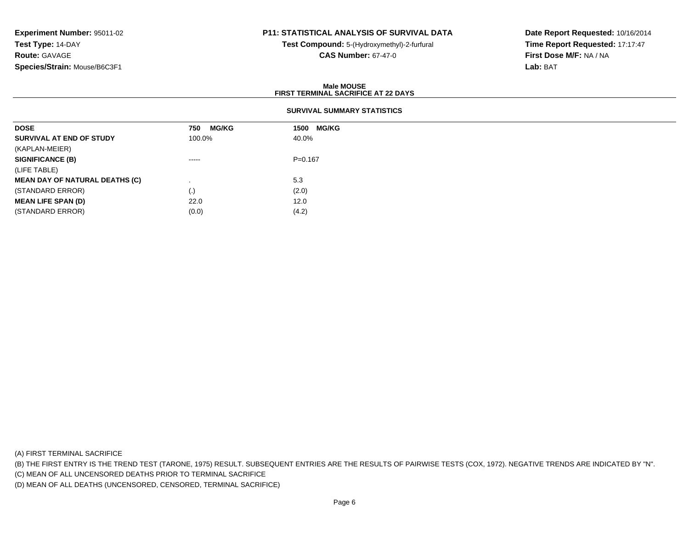# **P11: STATISTICAL ANALYSIS OF SURVIVAL DATA**

**Test Compound:** 5-(Hydroxymethyl)-2-furfural **CAS Number:** 67-47-0

**Date Report Requested:** 10/16/2014**Time Report Requested:** 17:17:47**First Dose M/F:** NA / NA**Lab:** BAT

### **Male MOUSEFIRST TERMINAL SACRIFICE AT 22 DAYS**

## **SURVIVAL SUMMARY STATISTICS**

| <b>DOSE</b>                           | <b>MG/KG</b><br>750                                                                                                                                                                                                                                                                                                                                                                                                                                                                    | <b>MG/KG</b><br>1500 |
|---------------------------------------|----------------------------------------------------------------------------------------------------------------------------------------------------------------------------------------------------------------------------------------------------------------------------------------------------------------------------------------------------------------------------------------------------------------------------------------------------------------------------------------|----------------------|
| SURVIVAL AT END OF STUDY              | 100.0%                                                                                                                                                                                                                                                                                                                                                                                                                                                                                 | 40.0%                |
| (KAPLAN-MEIER)                        |                                                                                                                                                                                                                                                                                                                                                                                                                                                                                        |                      |
| <b>SIGNIFICANCE (B)</b>               | $\begin{array}{cccccccccccccc} \multicolumn{2}{c}{} & \multicolumn{2}{c}{} & \multicolumn{2}{c}{} & \multicolumn{2}{c}{} & \multicolumn{2}{c}{} & \multicolumn{2}{c}{} & \multicolumn{2}{c}{} & \multicolumn{2}{c}{} & \multicolumn{2}{c}{} & \multicolumn{2}{c}{} & \multicolumn{2}{c}{} & \multicolumn{2}{c}{} & \multicolumn{2}{c}{} & \multicolumn{2}{c}{} & \multicolumn{2}{c}{} & \multicolumn{2}{c}{} & \multicolumn{2}{c}{} & \multicolumn{2}{c}{} & \multicolumn{2}{c}{} & \$ | $P = 0.167$          |
| (LIFE TABLE)                          |                                                                                                                                                                                                                                                                                                                                                                                                                                                                                        |                      |
| <b>MEAN DAY OF NATURAL DEATHS (C)</b> |                                                                                                                                                                                                                                                                                                                                                                                                                                                                                        | 5.3                  |
| (STANDARD ERROR)                      | $\left( . \right)$                                                                                                                                                                                                                                                                                                                                                                                                                                                                     | (2.0)                |
| <b>MEAN LIFE SPAN (D)</b>             | 22.0                                                                                                                                                                                                                                                                                                                                                                                                                                                                                   | 12.0                 |
| (STANDARD ERROR)                      | (0.0)                                                                                                                                                                                                                                                                                                                                                                                                                                                                                  | (4.2)                |

(A) FIRST TERMINAL SACRIFICE

(B) THE FIRST ENTRY IS THE TREND TEST (TARONE, 1975) RESULT. SUBSEQUENT ENTRIES ARE THE RESULTS OF PAIRWISE TESTS (COX, 1972). NEGATIVE TRENDS ARE INDICATED BY "N".

(C) MEAN OF ALL UNCENSORED DEATHS PRIOR TO TERMINAL SACRIFICE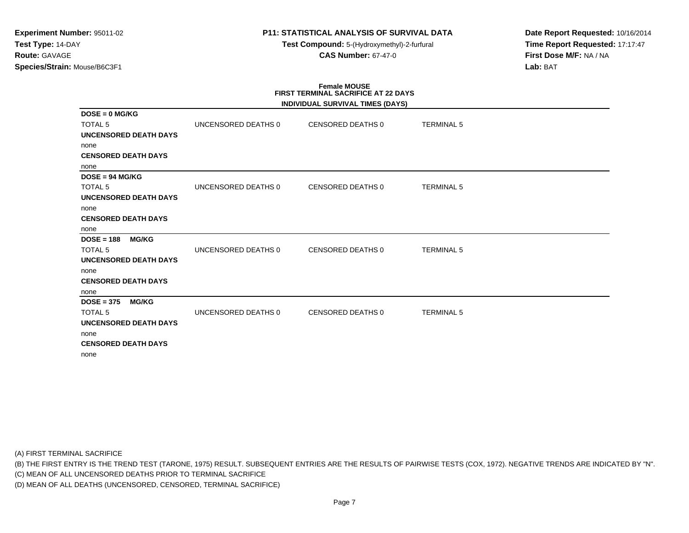# **P11: STATISTICAL ANALYSIS OF SURVIVAL DATA**

**Test Compound:** 5-(Hydroxymethyl)-2-furfural **CAS Number:** 67-47-0

**Date Report Requested:** 10/16/2014**Time Report Requested:** 17:17:47**First Dose M/F:** NA / NA**Lab:** BAT

# **Female MOUSE FIRST TERMINAL SACRIFICE AT 22 DAYS**

|                              |                     | INDIVIDUAL SURVIVAL TIMES (DAYS) |                   |  |
|------------------------------|---------------------|----------------------------------|-------------------|--|
| $DOSE = 0$ MG/KG             |                     |                                  |                   |  |
| <b>TOTAL 5</b>               | UNCENSORED DEATHS 0 | CENSORED DEATHS 0                | <b>TERMINAL 5</b> |  |
| <b>UNCENSORED DEATH DAYS</b> |                     |                                  |                   |  |
| none                         |                     |                                  |                   |  |
| <b>CENSORED DEATH DAYS</b>   |                     |                                  |                   |  |
| none                         |                     |                                  |                   |  |
| $DOSE = 94 MG/KG$            |                     |                                  |                   |  |
| <b>TOTAL 5</b>               | UNCENSORED DEATHS 0 | <b>CENSORED DEATHS 0</b>         | <b>TERMINAL 5</b> |  |
| <b>UNCENSORED DEATH DAYS</b> |                     |                                  |                   |  |
| none                         |                     |                                  |                   |  |
| <b>CENSORED DEATH DAYS</b>   |                     |                                  |                   |  |
| none                         |                     |                                  |                   |  |
| $DOSE = 188$<br><b>MG/KG</b> |                     |                                  |                   |  |
| <b>TOTAL 5</b>               | UNCENSORED DEATHS 0 | <b>CENSORED DEATHS 0</b>         | <b>TERMINAL 5</b> |  |
| <b>UNCENSORED DEATH DAYS</b> |                     |                                  |                   |  |
| none                         |                     |                                  |                   |  |
| <b>CENSORED DEATH DAYS</b>   |                     |                                  |                   |  |
| none                         |                     |                                  |                   |  |
| <b>MG/KG</b><br>$DOSE = 375$ |                     |                                  |                   |  |
| <b>TOTAL 5</b>               | UNCENSORED DEATHS 0 | <b>CENSORED DEATHS 0</b>         | <b>TERMINAL 5</b> |  |
| <b>UNCENSORED DEATH DAYS</b> |                     |                                  |                   |  |
| none                         |                     |                                  |                   |  |
| <b>CENSORED DEATH DAYS</b>   |                     |                                  |                   |  |
| none                         |                     |                                  |                   |  |

(A) FIRST TERMINAL SACRIFICE

(B) THE FIRST ENTRY IS THE TREND TEST (TARONE, 1975) RESULT. SUBSEQUENT ENTRIES ARE THE RESULTS OF PAIRWISE TESTS (COX, 1972). NEGATIVE TRENDS ARE INDICATED BY "N".

(C) MEAN OF ALL UNCENSORED DEATHS PRIOR TO TERMINAL SACRIFICE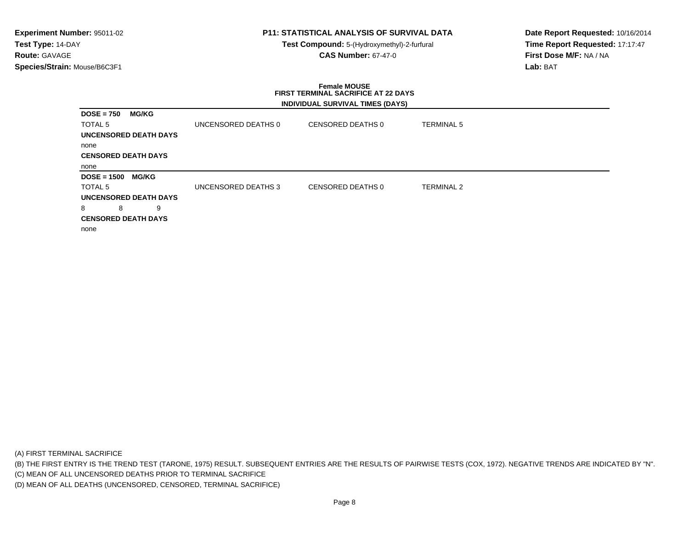# **P11: STATISTICAL ANALYSIS OF SURVIVAL DATA**

**Test Compound:** 5-(Hydroxymethyl)-2-furfural **CAS Number:** 67-47-0

**Date Report Requested:** 10/16/2014**Time Report Requested:** 17:17:47**First Dose M/F:** NA / NA**Lab:** BAT

#### **Female MOUSE FIRST TERMINAL SACRIFICE AT 22 DAYSINDIVIDUAL SURVIVAL TIMES (DAYS)**

| <b>MG/KG</b><br>$DOSE = 750$  |                     |                   |                   |
|-------------------------------|---------------------|-------------------|-------------------|
| TOTAL <sub>5</sub>            | UNCENSORED DEATHS 0 | CENSORED DEATHS 0 | <b>TERMINAL 5</b> |
| <b>UNCENSORED DEATH DAYS</b>  |                     |                   |                   |
| none                          |                     |                   |                   |
| <b>CENSORED DEATH DAYS</b>    |                     |                   |                   |
| none                          |                     |                   |                   |
| $DOSE = 1500$<br><b>MG/KG</b> |                     |                   |                   |
| TOTAL <sub>5</sub>            | UNCENSORED DEATHS 3 | CENSORED DEATHS 0 | <b>TERMINAL 2</b> |
| <b>UNCENSORED DEATH DAYS</b>  |                     |                   |                   |
| 8<br>9<br>8                   |                     |                   |                   |
| <b>CENSORED DEATH DAYS</b>    |                     |                   |                   |
| none                          |                     |                   |                   |
|                               |                     |                   |                   |

(A) FIRST TERMINAL SACRIFICE

(B) THE FIRST ENTRY IS THE TREND TEST (TARONE, 1975) RESULT. SUBSEQUENT ENTRIES ARE THE RESULTS OF PAIRWISE TESTS (COX, 1972). NEGATIVE TRENDS ARE INDICATED BY "N".

(C) MEAN OF ALL UNCENSORED DEATHS PRIOR TO TERMINAL SACRIFICE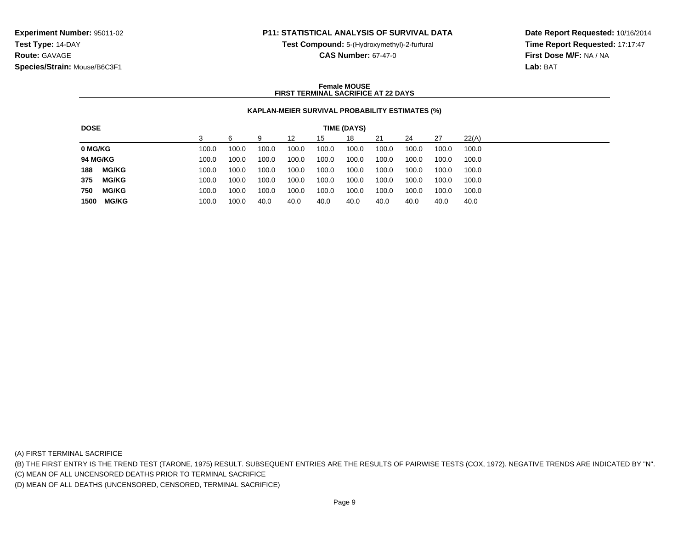## **P11: STATISTICAL ANALYSIS OF SURVIVAL DATA**

**Test Compound:** 5-(Hydroxymethyl)-2-furfural

**Time Report Requested:** 17:17:47**First Dose M/F:** NA / NA**Lab:** BAT

**Date Report Requested:** 10/16/2014

**CAS Number:** 67-47-0

### **Female MOUSEFIRST TERMINAL SACRIFICE AT 22 DAYS**

## **KAPLAN-MEIER SURVIVAL PROBABILITY ESTIMATES (%)**

| 22(A)<br>27<br>18<br>21<br>24<br>12<br>9<br>15<br>100.0<br>100.0<br>100.0<br>100.0<br>100.0<br>100.0<br>100.0<br>100.0<br>100.0<br>100.0 |
|------------------------------------------------------------------------------------------------------------------------------------------|
| 0 MG/KG                                                                                                                                  |
|                                                                                                                                          |
| <b>94 MG/KG</b><br>100.0<br>100.0<br>100.0<br>100.0<br>100.0<br>100.0<br>100.0<br>100.0<br>100.0<br>100.0                                |
| <b>MG/KG</b><br>188<br>100.0<br>100.0<br>100.0<br>100.0<br>100.0<br>100.0<br>100.0<br>100.0<br>100.0<br>100.0                            |
| 375<br><b>MG/KG</b><br>100.0<br>100.0<br>100.0<br>100.0<br>100.0<br>100.0<br>100.0<br>100.0<br>100.0<br>100.0                            |
| 750<br><b>MG/KG</b><br>100.0<br>100.0<br>100.0<br>100.0<br>100.0<br>100.0<br>100.0<br>100.0<br>100.0<br>100.0                            |
| <b>MG/KG</b><br>1500<br>100.0<br>40.0<br>40.0<br>40.0<br>100.0<br>40.0<br>40.0<br>40.0<br>40.0<br>40.0                                   |

(A) FIRST TERMINAL SACRIFICE

(B) THE FIRST ENTRY IS THE TREND TEST (TARONE, 1975) RESULT. SUBSEQUENT ENTRIES ARE THE RESULTS OF PAIRWISE TESTS (COX, 1972). NEGATIVE TRENDS ARE INDICATED BY "N".

(C) MEAN OF ALL UNCENSORED DEATHS PRIOR TO TERMINAL SACRIFICE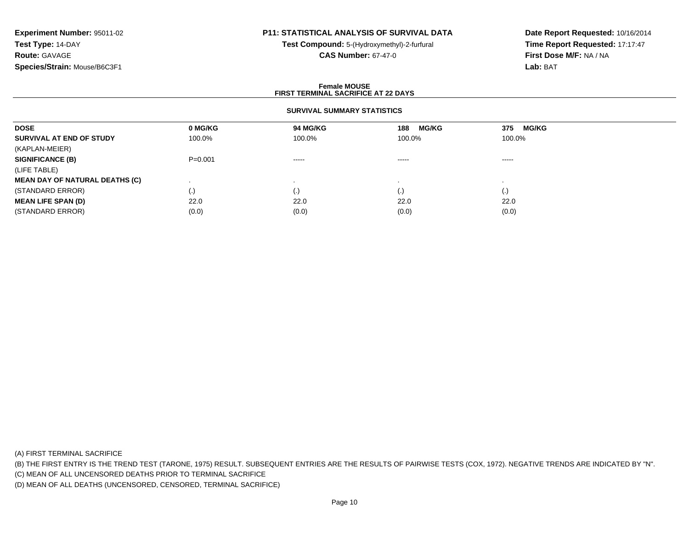# **P11: STATISTICAL ANALYSIS OF SURVIVAL DATA**

**Test Compound:** 5-(Hydroxymethyl)-2-furfural **CAS Number:** 67-47-0

**Date Report Requested:** 10/16/2014**Time Report Requested:** 17:17:47**First Dose M/F:** NA / NA**Lab:** BAT

### **Female MOUSEFIRST TERMINAL SACRIFICE AT 22 DAYS**

## **SURVIVAL SUMMARY STATISTICS**

| <b>DOSE</b>                           | 0 MG/KG     | 94 MG/KG | <b>MG/KG</b><br>188    | MG/KG<br>375 |
|---------------------------------------|-------------|----------|------------------------|--------------|
| SURVIVAL AT END OF STUDY              | 100.0%      | 100.0%   | 100.0%                 | 100.0%       |
| (KAPLAN-MEIER)                        |             |          |                        |              |
| <b>SIGNIFICANCE (B)</b>               | $P = 0.001$ | $\cdots$ | $\cdots$               | -----        |
| (LIFE TABLE)                          |             |          |                        |              |
| <b>MEAN DAY OF NATURAL DEATHS (C)</b> |             |          |                        |              |
| (STANDARD ERROR)                      | (.)         | $\cdot$  | $\left( \cdot \right)$ | (.)          |
| <b>MEAN LIFE SPAN (D)</b>             | 22.0        | 22.0     | 22.0                   | 22.0         |
| (STANDARD ERROR)                      | (0.0)       | (0.0)    | (0.0)                  | (0.0)        |

(A) FIRST TERMINAL SACRIFICE

(B) THE FIRST ENTRY IS THE TREND TEST (TARONE, 1975) RESULT. SUBSEQUENT ENTRIES ARE THE RESULTS OF PAIRWISE TESTS (COX, 1972). NEGATIVE TRENDS ARE INDICATED BY "N".

(C) MEAN OF ALL UNCENSORED DEATHS PRIOR TO TERMINAL SACRIFICE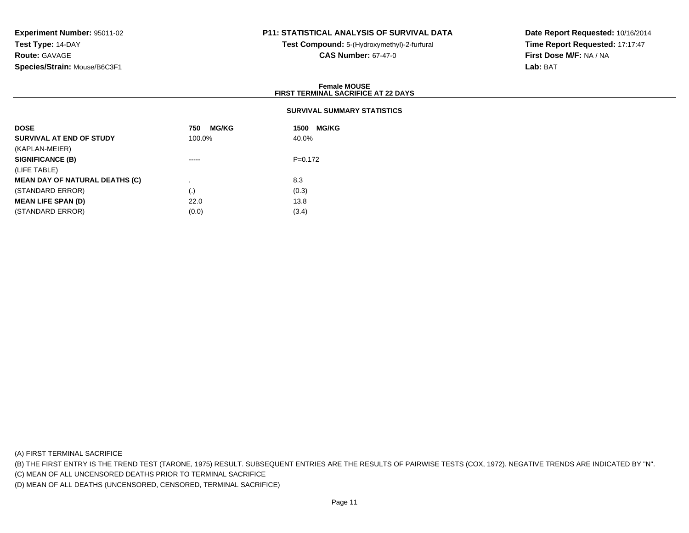# **P11: STATISTICAL ANALYSIS OF SURVIVAL DATA**

**Test Compound:** 5-(Hydroxymethyl)-2-furfural **CAS Number:** 67-47-0

**Date Report Requested:** 10/16/2014**Time Report Requested:** 17:17:47**First Dose M/F:** NA / NA**Lab:** BAT

### **Female MOUSEFIRST TERMINAL SACRIFICE AT 22 DAYS**

## **SURVIVAL SUMMARY STATISTICS**

| <b>DOSE</b>                           | <b>MG/KG</b><br>750                                                                                                                                                                                                                                                                                                                                                                                                                                                                    | <b>MG/KG</b><br>1500 |
|---------------------------------------|----------------------------------------------------------------------------------------------------------------------------------------------------------------------------------------------------------------------------------------------------------------------------------------------------------------------------------------------------------------------------------------------------------------------------------------------------------------------------------------|----------------------|
| SURVIVAL AT END OF STUDY              | 100.0%                                                                                                                                                                                                                                                                                                                                                                                                                                                                                 | 40.0%                |
| (KAPLAN-MEIER)                        |                                                                                                                                                                                                                                                                                                                                                                                                                                                                                        |                      |
| <b>SIGNIFICANCE (B)</b>               | $\begin{array}{cccccccccccccc} \multicolumn{2}{c}{} & \multicolumn{2}{c}{} & \multicolumn{2}{c}{} & \multicolumn{2}{c}{} & \multicolumn{2}{c}{} & \multicolumn{2}{c}{} & \multicolumn{2}{c}{} & \multicolumn{2}{c}{} & \multicolumn{2}{c}{} & \multicolumn{2}{c}{} & \multicolumn{2}{c}{} & \multicolumn{2}{c}{} & \multicolumn{2}{c}{} & \multicolumn{2}{c}{} & \multicolumn{2}{c}{} & \multicolumn{2}{c}{} & \multicolumn{2}{c}{} & \multicolumn{2}{c}{} & \multicolumn{2}{c}{} & \$ | $P=0.172$            |
| (LIFE TABLE)                          |                                                                                                                                                                                                                                                                                                                                                                                                                                                                                        |                      |
| <b>MEAN DAY OF NATURAL DEATHS (C)</b> |                                                                                                                                                                                                                                                                                                                                                                                                                                                                                        | 8.3                  |
| (STANDARD ERROR)                      | $\left( . \right)$                                                                                                                                                                                                                                                                                                                                                                                                                                                                     | (0.3)                |
| <b>MEAN LIFE SPAN (D)</b>             | 22.0                                                                                                                                                                                                                                                                                                                                                                                                                                                                                   | 13.8                 |
| (STANDARD ERROR)                      | (0.0)                                                                                                                                                                                                                                                                                                                                                                                                                                                                                  | (3.4)                |

(A) FIRST TERMINAL SACRIFICE

(B) THE FIRST ENTRY IS THE TREND TEST (TARONE, 1975) RESULT. SUBSEQUENT ENTRIES ARE THE RESULTS OF PAIRWISE TESTS (COX, 1972). NEGATIVE TRENDS ARE INDICATED BY "N".

(C) MEAN OF ALL UNCENSORED DEATHS PRIOR TO TERMINAL SACRIFICE